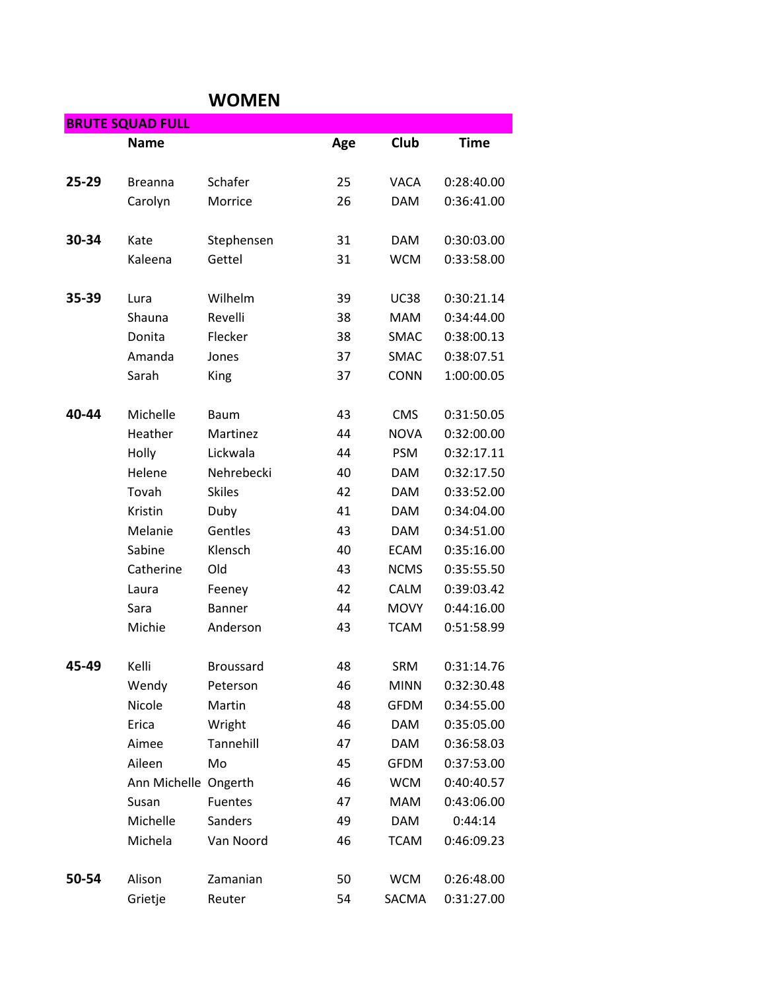## **WOMEN**

|       | <b>BRUTE SQUAD FULL</b> |                  |     |             |             |
|-------|-------------------------|------------------|-----|-------------|-------------|
|       | <b>Name</b>             |                  | Age | Club        | <b>Time</b> |
| 25-29 | <b>Breanna</b>          | Schafer          | 25  | <b>VACA</b> | 0:28:40.00  |
|       | Carolyn                 | Morrice          | 26  | <b>DAM</b>  | 0:36:41.00  |
| 30-34 | Kate                    | Stephensen       | 31  | <b>DAM</b>  | 0:30:03.00  |
|       | Kaleena                 | Gettel           | 31  | <b>WCM</b>  | 0:33:58.00  |
| 35-39 | Lura                    | Wilhelm          | 39  | <b>UC38</b> | 0:30:21.14  |
|       | Shauna                  | Revelli          | 38  | <b>MAM</b>  | 0:34:44.00  |
|       | Donita                  | Flecker          | 38  | <b>SMAC</b> | 0:38:00.13  |
|       | Amanda                  | Jones            | 37  | SMAC        | 0:38:07.51  |
|       | Sarah                   | King             | 37  | <b>CONN</b> | 1:00:00.05  |
| 40-44 | Michelle                | Baum             | 43  | <b>CMS</b>  | 0:31:50.05  |
|       | Heather                 | Martinez         | 44  | <b>NOVA</b> | 0:32:00.00  |
|       | Holly                   | Lickwala         | 44  | <b>PSM</b>  | 0:32:17.11  |
|       | Helene                  | Nehrebecki       | 40  | <b>DAM</b>  | 0:32:17.50  |
|       | Tovah                   | <b>Skiles</b>    | 42  | <b>DAM</b>  | 0:33:52.00  |
|       | Kristin                 | Duby             | 41  | <b>DAM</b>  | 0:34:04.00  |
|       | Melanie                 | Gentles          | 43  | <b>DAM</b>  | 0:34:51.00  |
|       | Sabine                  | Klensch          | 40  | <b>ECAM</b> | 0:35:16.00  |
|       | Catherine               | Old              | 43  | <b>NCMS</b> | 0:35:55.50  |
|       | Laura                   | Feeney           | 42  | <b>CALM</b> | 0:39:03.42  |
|       | Sara                    | <b>Banner</b>    | 44  | <b>MOVY</b> | 0:44:16.00  |
|       | Michie                  | Anderson         | 43  | <b>TCAM</b> | 0:51:58.99  |
| 45-49 | Kelli                   | <b>Broussard</b> | 48  | <b>SRM</b>  | 0:31:14.76  |
|       | Wendy                   | Peterson         | 46  | <b>MINN</b> | 0:32:30.48  |
|       | Nicole                  | Martin           | 48  | <b>GFDM</b> | 0:34:55.00  |
|       | Erica                   | Wright           | 46  | <b>DAM</b>  | 0:35:05.00  |
|       | Aimee                   | Tannehill        | 47  | <b>DAM</b>  | 0:36:58.03  |
|       | Aileen                  | Mo               | 45  | <b>GFDM</b> | 0:37:53.00  |
|       | Ann Michelle Ongerth    |                  | 46  | <b>WCM</b>  | 0:40:40.57  |
|       | Susan                   | Fuentes          | 47  | <b>MAM</b>  | 0:43:06.00  |
|       | Michelle                | Sanders          | 49  | <b>DAM</b>  | 0:44:14     |
|       | Michela                 | Van Noord        | 46  | <b>TCAM</b> | 0:46:09.23  |
| 50-54 | Alison                  | Zamanian         | 50  | <b>WCM</b>  | 0:26:48.00  |
|       | Grietje                 | Reuter           | 54  | SACMA       | 0:31:27.00  |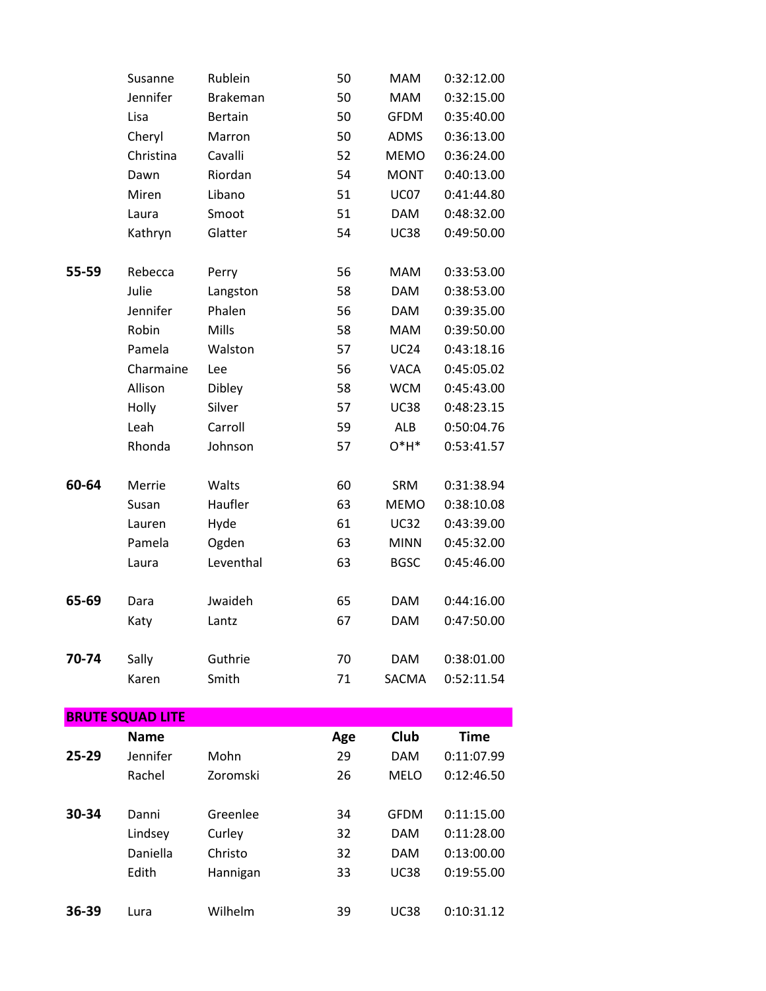|       | Susanne                 | Rublein         | 50  | <b>MAM</b>   | 0:32:12.00  |
|-------|-------------------------|-----------------|-----|--------------|-------------|
|       | Jennifer                | <b>Brakeman</b> | 50  | <b>MAM</b>   | 0:32:15.00  |
|       | Lisa                    | <b>Bertain</b>  | 50  | <b>GFDM</b>  | 0:35:40.00  |
|       | Cheryl                  | Marron          | 50  | <b>ADMS</b>  | 0:36:13.00  |
|       | Christina               | Cavalli         | 52  | <b>MEMO</b>  | 0:36:24.00  |
|       | Dawn                    | Riordan         | 54  | <b>MONT</b>  | 0:40:13.00  |
|       | Miren                   | Libano          | 51  | <b>UC07</b>  | 0:41:44.80  |
|       | Laura                   | Smoot           | 51  | <b>DAM</b>   | 0:48:32.00  |
|       | Kathryn                 | Glatter         | 54  | <b>UC38</b>  | 0:49:50.00  |
|       |                         |                 |     |              |             |
| 55-59 | Rebecca                 | Perry           | 56  | <b>MAM</b>   | 0:33:53.00  |
|       | Julie                   | Langston        | 58  | <b>DAM</b>   | 0:38:53.00  |
|       | Jennifer                | Phalen          | 56  | <b>DAM</b>   | 0:39:35.00  |
|       | Robin                   | Mills           | 58  | <b>MAM</b>   | 0:39:50.00  |
|       | Pamela                  | Walston         | 57  | <b>UC24</b>  | 0:43:18.16  |
|       | Charmaine               | Lee             | 56  | <b>VACA</b>  | 0:45:05.02  |
|       | Allison                 | Dibley          | 58  | <b>WCM</b>   | 0:45:43.00  |
|       | Holly                   | Silver          | 57  | <b>UC38</b>  | 0:48:23.15  |
|       | Leah                    | Carroll         | 59  | <b>ALB</b>   | 0:50:04.76  |
|       | Rhonda                  | Johnson         | 57  | $O*H*$       | 0:53:41.57  |
| 60-64 | Merrie                  | Walts           | 60  | SRM          | 0:31:38.94  |
|       | Susan                   | Haufler         | 63  | <b>MEMO</b>  | 0:38:10.08  |
|       | Lauren                  | Hyde            | 61  | <b>UC32</b>  | 0:43:39.00  |
|       | Pamela                  | Ogden           | 63  | <b>MINN</b>  | 0:45:32.00  |
|       | Laura                   | Leventhal       | 63  | <b>BGSC</b>  | 0:45:46.00  |
| 65-69 | Dara                    | Jwaideh         | 65  | <b>DAM</b>   | 0:44:16.00  |
|       | Katy                    | Lantz           | 67  | <b>DAM</b>   | 0:47:50.00  |
|       |                         |                 |     |              |             |
| 70-74 | Sally                   | Guthrie         | 70  | <b>DAM</b>   | 0:38:01.00  |
|       | Karen                   | Smith           | 71  | <b>SACMA</b> | 0:52:11.54  |
|       | <b>BRUTE SQUAD LITE</b> |                 |     |              |             |
|       | <b>Name</b>             |                 | Age | Club         | <b>Time</b> |
| 25-29 | Jennifer                | Mohn            | 29  | <b>DAM</b>   | 0:11:07.99  |
|       | Rachel                  | Zoromski        | 26  | <b>MELO</b>  | 0:12:46.50  |
|       |                         |                 |     |              |             |
| 30-34 | Danni                   | Greenlee        | 34  | <b>GFDM</b>  | 0:11:15.00  |
|       | Lindsey                 | Curley          | 32  | <b>DAM</b>   | 0:11:28.00  |
|       | Daniella                | Christo         | 32  | <b>DAM</b>   | 0:13:00.00  |
|       | Edith                   | Hannigan        | 33  | <b>UC38</b>  | 0:19:55.00  |
| 36-39 | Lura                    | Wilhelm         | 39  | <b>UC38</b>  | 0:10:31.12  |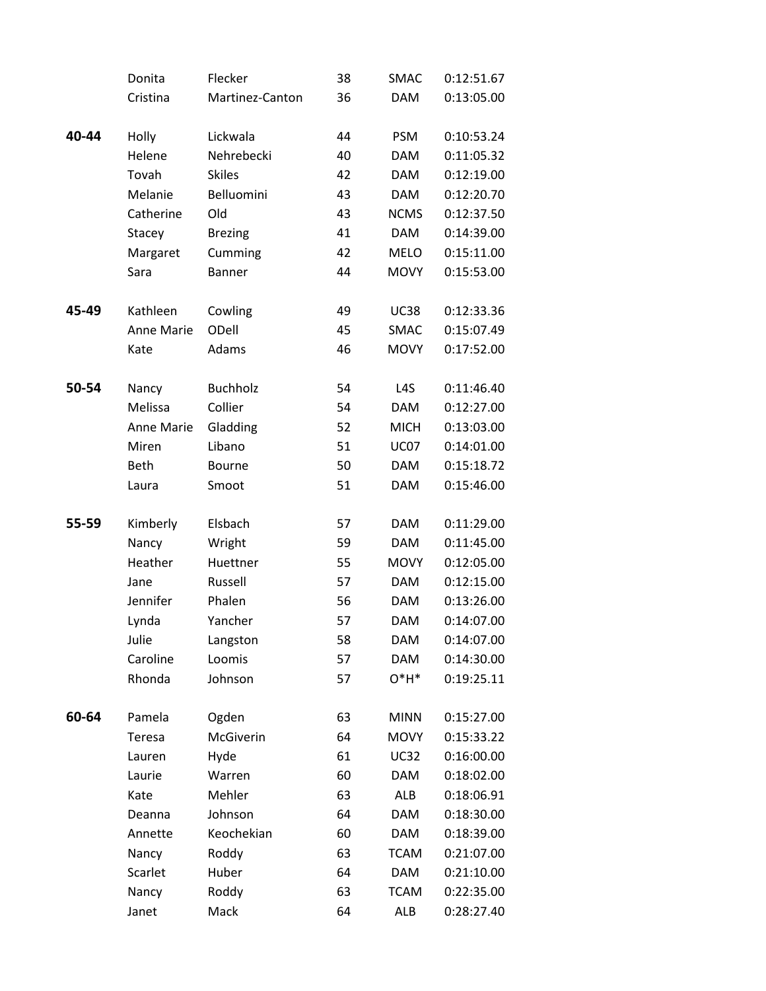|       | Donita      | Flecker         | 38 | <b>SMAC</b>      | 0:12:51.67 |
|-------|-------------|-----------------|----|------------------|------------|
|       | Cristina    | Martinez-Canton | 36 | <b>DAM</b>       | 0:13:05.00 |
|       |             |                 |    |                  |            |
| 40-44 | Holly       | Lickwala        | 44 | <b>PSM</b>       | 0:10:53.24 |
|       | Helene      | Nehrebecki      | 40 | <b>DAM</b>       | 0:11:05.32 |
|       | Tovah       | <b>Skiles</b>   | 42 | <b>DAM</b>       | 0:12:19.00 |
|       | Melanie     | Belluomini      | 43 | <b>DAM</b>       | 0:12:20.70 |
|       | Catherine   | Old             | 43 | <b>NCMS</b>      | 0:12:37.50 |
|       | Stacey      | <b>Brezing</b>  | 41 | <b>DAM</b>       | 0:14:39.00 |
|       | Margaret    | Cumming         | 42 | <b>MELO</b>      | 0:15:11.00 |
|       | Sara        | <b>Banner</b>   | 44 | <b>MOVY</b>      | 0:15:53.00 |
|       |             |                 |    |                  |            |
| 45-49 | Kathleen    | Cowling         | 49 | <b>UC38</b>      | 0:12:33.36 |
|       | Anne Marie  | ODell           | 45 | SMAC             | 0:15:07.49 |
|       | Kate        | Adams           | 46 | <b>MOVY</b>      | 0:17:52.00 |
|       |             |                 |    |                  |            |
| 50-54 | Nancy       | <b>Buchholz</b> | 54 | L <sub>4</sub> S | 0:11:46.40 |
|       | Melissa     | Collier         | 54 | <b>DAM</b>       | 0:12:27.00 |
|       | Anne Marie  | Gladding        | 52 | <b>MICH</b>      | 0:13:03.00 |
|       | Miren       | Libano          | 51 | <b>UC07</b>      | 0:14:01.00 |
|       | <b>Beth</b> | <b>Bourne</b>   | 50 | <b>DAM</b>       | 0:15:18.72 |
|       | Laura       | Smoot           | 51 | <b>DAM</b>       | 0:15:46.00 |
|       |             |                 |    |                  |            |
| 55-59 | Kimberly    | Elsbach         | 57 | <b>DAM</b>       | 0:11:29.00 |
|       | Nancy       | Wright          | 59 | <b>DAM</b>       | 0:11:45.00 |
|       | Heather     | Huettner        | 55 | <b>MOVY</b>      | 0:12:05.00 |
|       | Jane        | Russell         | 57 | <b>DAM</b>       | 0:12:15.00 |
|       | Jennifer    | Phalen          | 56 | <b>DAM</b>       | 0:13:26.00 |
|       | Lynda       | Yancher         | 57 | <b>DAM</b>       | 0:14:07.00 |
|       | Julie       | Langston        | 58 | <b>DAM</b>       | 0:14:07.00 |
|       | Caroline    | Loomis          | 57 | <b>DAM</b>       | 0:14:30.00 |
|       | Rhonda      | Johnson         | 57 | $O*H*$           | 0:19:25.11 |
|       |             |                 |    |                  |            |
| 60-64 | Pamela      | Ogden           | 63 | <b>MINN</b>      | 0:15:27.00 |
|       | Teresa      | McGiverin       | 64 | <b>MOVY</b>      | 0:15:33.22 |
|       | Lauren      | Hyde            | 61 | <b>UC32</b>      | 0:16:00.00 |
|       | Laurie      | Warren          | 60 | <b>DAM</b>       | 0:18:02.00 |
|       | Kate        | Mehler          | 63 | <b>ALB</b>       | 0:18:06.91 |
|       | Deanna      | Johnson         | 64 | <b>DAM</b>       | 0:18:30.00 |
|       | Annette     | Keochekian      | 60 | <b>DAM</b>       | 0:18:39.00 |
|       | Nancy       | Roddy           | 63 | <b>TCAM</b>      | 0:21:07.00 |
|       | Scarlet     | Huber           | 64 | <b>DAM</b>       | 0:21:10.00 |
|       | Nancy       | Roddy           | 63 | <b>TCAM</b>      | 0:22:35.00 |
|       | Janet       | Mack            | 64 | ALB              | 0:28:27.40 |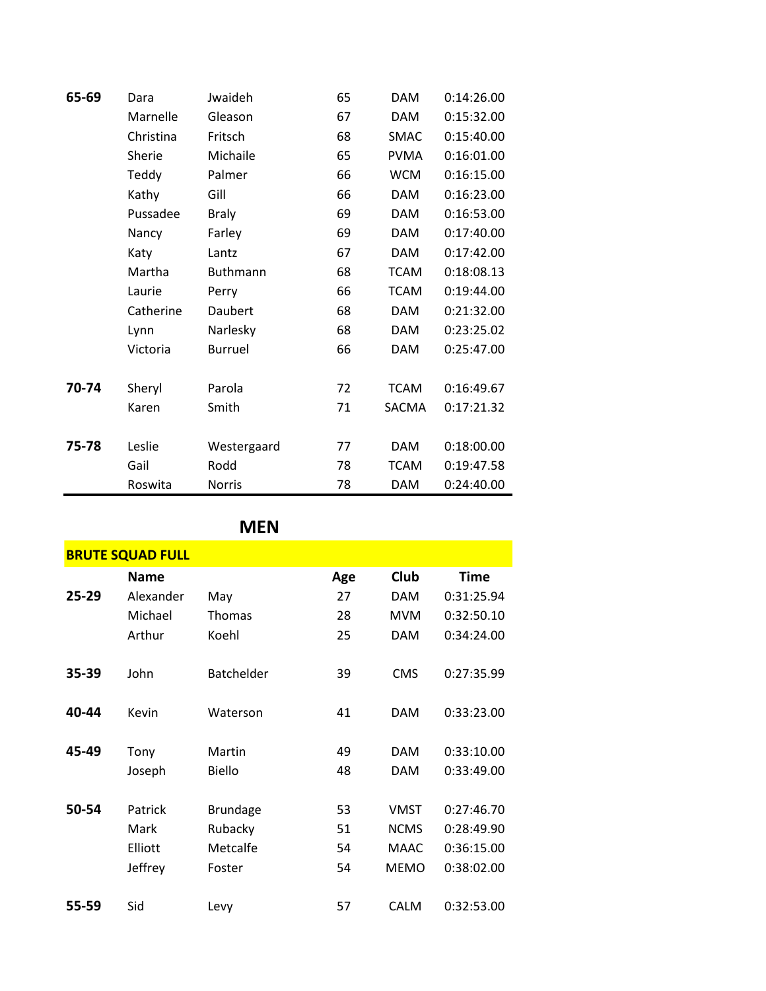| 65-69 | Dara      | Jwaideh        | 65 | <b>DAM</b>  | 0:14:26.00 |
|-------|-----------|----------------|----|-------------|------------|
|       | Marnelle  | Gleason        | 67 | <b>DAM</b>  | 0:15:32.00 |
|       | Christina | Fritsch        | 68 | <b>SMAC</b> | 0:15:40.00 |
|       | Sherie    | Michaile       | 65 | <b>PVMA</b> | 0:16:01.00 |
|       | Teddy     | Palmer         | 66 | <b>WCM</b>  | 0:16:15.00 |
|       | Kathy     | Gill           | 66 | <b>DAM</b>  | 0:16:23.00 |
|       | Pussadee  | <b>Braly</b>   | 69 | <b>DAM</b>  | 0:16:53.00 |
|       | Nancy     | Farley         | 69 | <b>DAM</b>  | 0:17:40.00 |
|       | Katy      | Lantz          | 67 | <b>DAM</b>  | 0:17:42.00 |
|       | Martha    | Buthmann       | 68 | <b>TCAM</b> | 0:18:08.13 |
|       | Laurie    | Perry          | 66 | <b>TCAM</b> | 0:19:44.00 |
|       | Catherine | Daubert        | 68 | <b>DAM</b>  | 0:21:32.00 |
|       | Lynn      | Narlesky       | 68 | <b>DAM</b>  | 0:23:25.02 |
|       | Victoria  | <b>Burruel</b> | 66 | <b>DAM</b>  | 0:25:47.00 |
|       |           |                |    |             |            |
| 70-74 | Sheryl    | Parola         | 72 | <b>TCAM</b> | 0:16:49.67 |
|       | Karen     | Smith          | 71 | SACMA       | 0:17:21.32 |
| 75-78 | Leslie    | Westergaard    | 77 | <b>DAM</b>  | 0:18:00.00 |
|       | Gail      | Rodd           | 78 | <b>TCAM</b> | 0:19:47.58 |
|       | Roswita   | <b>Norris</b>  | 78 | <b>DAM</b>  | 0:24:40.00 |

## **MEN**

| <b>BRUTE SQUAD FULL</b> |             |                   |     |             |             |  |  |
|-------------------------|-------------|-------------------|-----|-------------|-------------|--|--|
|                         | <b>Name</b> |                   | Age | Club        | <b>Time</b> |  |  |
| 25-29                   | Alexander   | May               | 27  | <b>DAM</b>  | 0:31:25.94  |  |  |
|                         | Michael     | Thomas            | 28  | <b>MVM</b>  | 0:32:50.10  |  |  |
|                         | Arthur      | Koehl             | 25  | <b>DAM</b>  | 0:34:24.00  |  |  |
| 35-39                   | John        | <b>Batchelder</b> | 39  | <b>CMS</b>  | 0:27:35.99  |  |  |
| 40-44                   | Kevin       | Waterson          | 41  | <b>DAM</b>  | 0:33:23.00  |  |  |
| 45-49                   | Tony        | Martin            | 49  | <b>DAM</b>  | 0:33:10.00  |  |  |
|                         | Joseph      | <b>Biello</b>     | 48  | <b>DAM</b>  | 0:33:49.00  |  |  |
| 50-54                   | Patrick     | <b>Brundage</b>   | 53  | <b>VMST</b> | 0:27:46.70  |  |  |
|                         | Mark        | Rubacky           | 51  | <b>NCMS</b> | 0:28:49.90  |  |  |
|                         | Elliott     | Metcalfe          | 54  | <b>MAAC</b> | 0:36:15.00  |  |  |
|                         | Jeffrey     | Foster            | 54  | <b>MEMO</b> | 0:38:02.00  |  |  |
| 55-59                   | Sid         | Levy              | 57  | <b>CALM</b> | 0:32:53.00  |  |  |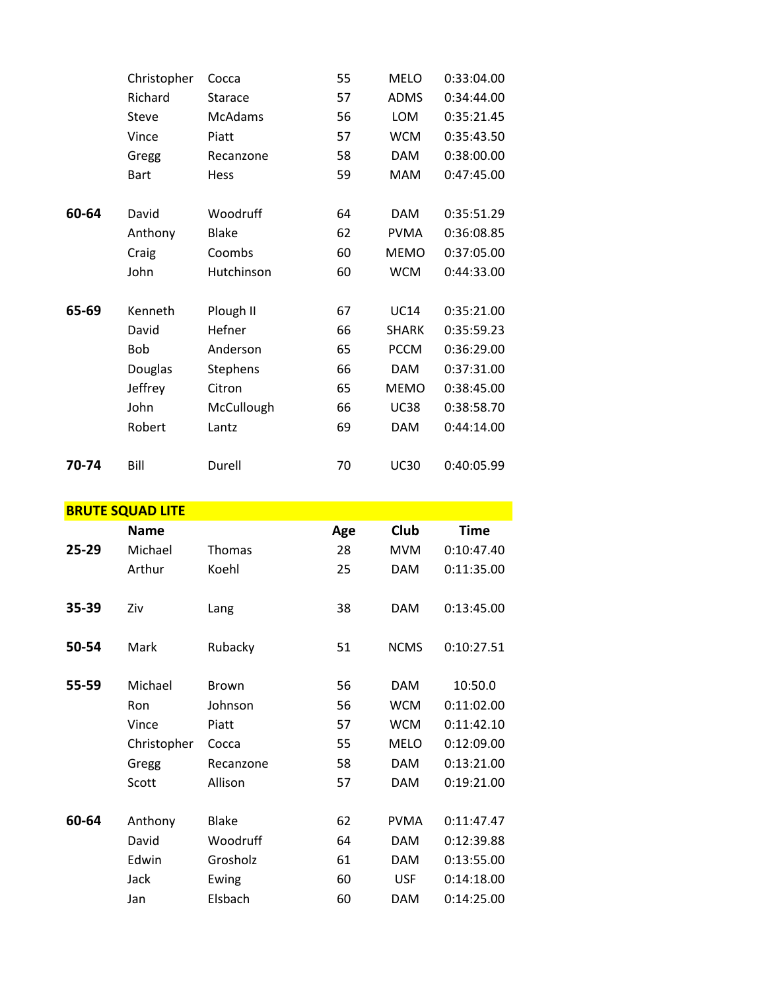|       | Christopher  | Cocca          | 55 | <b>MELO</b>  | 0:33:04.00 |
|-------|--------------|----------------|----|--------------|------------|
|       | Richard      | <b>Starace</b> | 57 | <b>ADMS</b>  | 0:34:44.00 |
|       | <b>Steve</b> | McAdams        | 56 | LOM          | 0:35:21.45 |
|       | Vince        | Piatt          | 57 | <b>WCM</b>   | 0:35:43.50 |
|       | Gregg        | Recanzone      | 58 | <b>DAM</b>   | 0:38:00.00 |
|       | <b>Bart</b>  | Hess           | 59 | <b>MAM</b>   | 0:47:45.00 |
| 60-64 | David        | Woodruff       | 64 | <b>DAM</b>   | 0:35:51.29 |
|       | Anthony      | <b>Blake</b>   | 62 | <b>PVMA</b>  | 0:36:08.85 |
|       | Craig        | Coombs         | 60 | <b>MEMO</b>  | 0:37:05.00 |
|       | John         | Hutchinson     | 60 | <b>WCM</b>   | 0:44:33.00 |
| 65-69 | Kenneth      | Plough II      | 67 | <b>UC14</b>  | 0:35:21.00 |
|       | David        | Hefner         | 66 | <b>SHARK</b> | 0:35:59.23 |
|       | Bob          | Anderson       | 65 | <b>PCCM</b>  | 0:36:29.00 |
|       | Douglas      | Stephens       | 66 | <b>DAM</b>   | 0:37:31.00 |
|       | Jeffrey      | Citron         | 65 | <b>MEMO</b>  | 0:38:45.00 |
|       | John         | McCullough     | 66 | <b>UC38</b>  | 0:38:58.70 |
|       | Robert       | Lantz          | 69 | <b>DAM</b>   | 0:44:14.00 |
| 70-74 | Bill         | Durell         | 70 | <b>UC30</b>  | 0:40:05.99 |

| <b>BRUTE SQUAD LITE</b> |             |              |     |             |             |  |  |
|-------------------------|-------------|--------------|-----|-------------|-------------|--|--|
|                         | <b>Name</b> |              | Age | Club        | <b>Time</b> |  |  |
| 25-29                   | Michael     | Thomas       | 28  | <b>MVM</b>  | 0:10:47.40  |  |  |
|                         | Arthur      | Koehl        | 25  | <b>DAM</b>  | 0:11:35.00  |  |  |
| 35-39                   | Ziv         | Lang         | 38  | <b>DAM</b>  | 0:13:45.00  |  |  |
| 50-54                   | Mark        | Rubacky      | 51  | <b>NCMS</b> | 0:10:27.51  |  |  |
| 55-59                   | Michael     | <b>Brown</b> | 56  | <b>DAM</b>  | 10:50.0     |  |  |
|                         | Ron         | Johnson      | 56  | <b>WCM</b>  | 0:11:02.00  |  |  |
|                         | Vince       | Piatt        | 57  | <b>WCM</b>  | 0:11:42.10  |  |  |
|                         | Christopher | Cocca        | 55  | <b>MELO</b> | 0:12:09.00  |  |  |
|                         | Gregg       | Recanzone    | 58  | <b>DAM</b>  | 0:13:21.00  |  |  |
|                         | Scott       | Allison      | 57  | <b>DAM</b>  | 0:19:21.00  |  |  |
| 60-64                   | Anthony     | <b>Blake</b> | 62  | <b>PVMA</b> | 0:11:47.47  |  |  |
|                         | David       | Woodruff     | 64  | <b>DAM</b>  | 0:12:39.88  |  |  |
|                         | Edwin       | Grosholz     | 61  | <b>DAM</b>  | 0:13:55.00  |  |  |
|                         | Jack        | Ewing        | 60  | <b>USF</b>  | 0:14:18.00  |  |  |
|                         | Jan         | Elsbach      | 60  | DAM         | 0:14:25.00  |  |  |